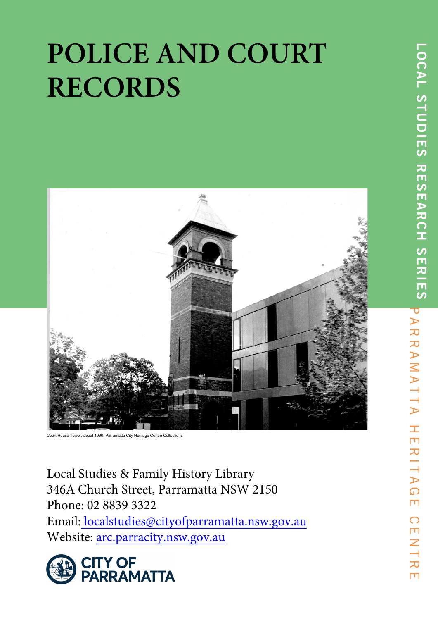# **POLICE AND COURT RECORDS**



Court House Tower, about 1960, Parramatta City Heritage Centre Collections

Local Studies & Family History Library 346A Church Street, Parramatta NSW 2150 Phone: 02 8839 3322 Email: localstudies@cityofparramatta.nsw.gov.au Website: arc.parracity.nsw.gov.au

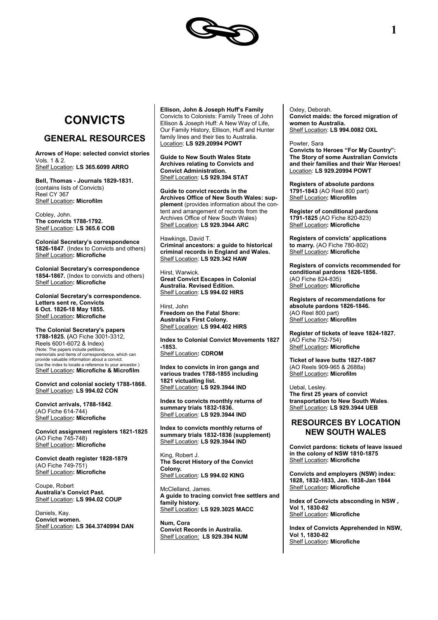

# **CONVICTS**

## **GENERAL RESOURCES**

**Arrows of Hope: selected convict stories** Vols. 1 & 2. Shelf Location: **LS 365.6099 ARRO**

**Bell, Thomas - Journals 1829-1831.** (contains lists of Convicts) Reel CY 367 Shelf Location**: Microfilm**

Cobley, John. **The convicts 1788-1792.** Shelf Location: **LS 365.6 COB**

**Colonial Secretary's correspondence 1826-1847**. (Index to Convicts and others) Shelf Location**: Microfiche**

**Colonial Secretary's correspondence 1854-1867.** (Index to convicts and others) Shelf Location**: Microfiche**

**Colonial Secretary's correspondence. Letters sent re, Convicts 6 Oct. 1826-18 May 1855.**  Shelf Location**: Microfiche**

**The Colonial Secretary's papers 1788-1825. (**AO Fiche 3001-3312, Reels 6001-6072 & Index) (Note: The papers include petitions, memorials and items of correspondence, which can provide valuable information about a convict. Use the index to locate a reference to your ancestor.) Shelf Location**: Microfiche & Microfilm**

**Convict and colonial society 1788-1868.** Shelf Location: **LS 994.02 CON**

**Convict arrivals, 1788-1842**. (AO Fiche 614-744) Shelf Location**: Microfiche**

**Convict assignment registers 1821-1825** (AO Fiche 745-748) Shelf Location**: Microfiche**

**Convict death register 1828-1879** (AO Fiche 749-751) Shelf Location**: Microfiche**

Coupe, Robert **Australia's Convict Past.** Shelf Location: **LS 994.02 COUP**

Daniels, Kay. **Convict women.** Shelf Location: **LS 364.3740994 DAN** **Ellison, John & Joseph Huff's Family** Convicts to Colonists: Family Trees of John Ellison & Joseph Huff: A New Way of Life, Our Family History, Ellison, Huff and Hunter family lines and their ties to Australia. Location: **LS 929.20994 POWT**

**Guide to New South Wales State Archives relating to Convicts and Convict Administration.** Shelf Location: **LS 929.394 STAT**

**Guide to convict records in the Archives Office of New South Wales: supplement** (provides information about the content and arrangement of records from the Archives Office of New South Wales) Shelf Location: **LS 929.3944 ARC**

Hawkings, David T. **Criminal ancestors: a guide to historical criminal records in England and Wales.** Shelf Location: **LS 929.342 HAW**

Hirst, Warwick. **Great Convict Escapes in Colonial Australia. Revised Edition.** Shelf Location: **LS 994.02 HIRS**

Hirst, John **Freedom on the Fatal Shore: Australia's First Colony.** Shelf Location: **LS 994.402 HIRS**

**Index to Colonial Convict Movements 1827 -1853.** Shelf Location**: CDROM**

**Index to convicts in iron gangs and various trades 1788-1855 including 1821 victualling list.** Shelf Location: **LS 929.3944 IND**

**Index to convicts monthly returns of summary trials 1832-1836.** Shelf Location: **LS 929.3944 IND**

**Index to convicts monthly returns of summary trials 1832-1836 (supplement)** Shelf Location: **LS 929.3944 IND**

King, Robert J. **The Secret History of the Convict Colony.** Shelf Location: **LS 994.02 KING**

McClelland, James. **A guide to tracing convict free settlers and family history.** Shelf Location: **LS 929.3025 MACC**

**Num, Cora Convict Records in Australia.** Shelf Location: **LS 929.394 NUM**

Oxley, Deborah. **Convict maids: the forced migration of women to Australia.** Shelf Location: **LS 994.0082 OXL**

Powter, Sara **Convicts to Heroes "For My Country": The Story of some Australian Convicts and their families and their War Heroes!** Location: **LS 929.20994 POWT**

**Registers of absolute pardons 1791-1843** (AO Reel 800 part) Shelf Location**: Microfilm**

**Register of conditional pardons 1791-1825** (AO Fiche 820-823) Shelf Location**: Microfiche**

**Registers of convicts' applications to marry.** (AO Fiche 780-802) Shelf Location**: Microfiche**

**Registers of convicts recommended for conditional pardons 1826-1856.** (AO Fiche 824-835) Shelf Location**: Microfiche**

**Registers of recommendations for absolute pardons 1826-1846.** (AO Reel 800 part) Shelf Location**: Microfilm**

**Register of tickets of leave 1824-1827.** (AO Fiche 752-754) Shelf Location**: Microfiche**

**Ticket of leave butts 1827-1867** (AO Reels 909-965 & 2688a) Shelf Location**: Microfilm**

Uebal, Lesley. **The first 25 years of convict transportation to New South Wales**. Shelf Location: **LS 929.3944 UEB**

## **RESOURCES BY LOCATION NEW SOUTH WALES**

**Convict pardons: tickets of leave issued in the colony of NSW 1810-1875** Shelf Location**: Microfiche**

**Convicts and employers (NSW) index: 1828, 1832-1833, Jan. 1838-Jan 1844** Shelf Location**: Microfiche** 

**Index of Convicts absconding in NSW , Vol 1, 1830-82** Shelf Location**: Microfiche**

**Index of Convicts Apprehended in NSW, Vol 1, 1830-82** Shelf Location**: Microfiche**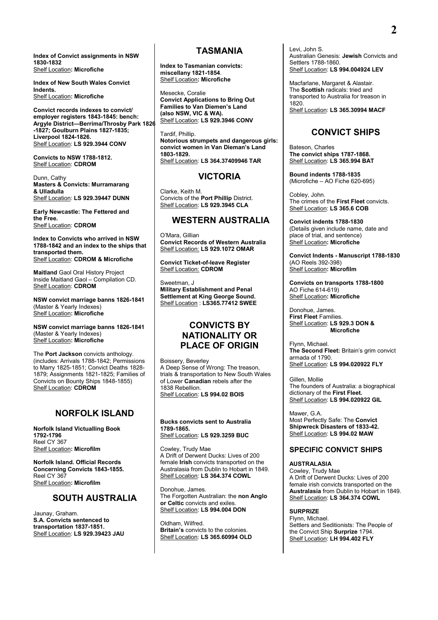**Index of Convict assignments in NSW 1830-1832** Shelf Location**: Microfiche**

**Index of New South Wales Convict Indents.** Shelf Location**: Microfiche**

**Convict records indexes to convict/ employer registers 1843-1845: bench: Argyle District—Berrima/Throsby Park 1826 -1827; Goulburn Plains 1827-1835; Liverpool 1824-1826.** Shelf Location: **LS 929.3944 CONV**

**Convicts to NSW 1788-1812.** Shelf Location: **CDROM**

Dunn, Cathy **Masters & Convicts: Murramarang & Ulladulla** Shelf Location: **LS 929.39447 DUNN**

**Early Newcastle: The Fettered and the Free.** Shelf Location: **CDROM**

**Index to Convicts who arrived in NSW 1788-1842 and an index to the ships that transported them.** Shelf Location: **CDROM & Microfiche**

**Maitland** Gaol Oral History Project Inside Maitland Gaol – Compilation CD. Shelf Location: **CDROM**

**NSW convict marriage banns 1826-1841** (Master & Yearly Indexes) Shelf Location**: Microfiche**

**NSW convict marriage banns 1826-1841** (Master & Yearly Indexes) Shelf Location**: Microfiche**

The **Port Jackson** convicts anthology. (includes: Arrivals 1788-1842; Permissions to Marry 1825-1851; Convict Deaths 1828- 1879; Assignments 1821-1825; Families of Convicts on Bounty Ships 1848-1855) Shelf Location: **CDROM**

## **NORFOLK ISLAND**

**Norfolk Island Victualling Book 1792-1796** Reel CY 367 Shelf Location**: Microfilm**

**Norfolk Island. Official Records Concerning Convicts 1843-1855.** Reel CY 367 Shelf Location**: Microfilm**

## **SOUTH AUSTRALIA**

Jaunay, Graham. **S.A. Convicts sentenced to transportation 1837-1851.** Shelf Location: **LS 929.39423 JAU**

## **TASMANIA**

**Index to Tasmanian convicts: miscellany 1821-1854**. Shelf Location**: Microfiche**

Mesecke, Coralie **Convict Applications to Bring Out Families to Van Diemen's Land (also NSW, VIC & WA).** Shelf Location: **LS 929.3946 CONV**

Tardif, Phillip. **Notorious strumpets and dangerous girls: convict women in Van Dieman's Land 1803-1829.** Shelf Location: **LS 364.37409946 TAR**

## **VICTORIA**

Clarke, Keith M. Convicts of the **Port Phillip** District. Shelf Location: **LS 929.3945 CLA**

## **WESTERN AUSTRALIA**

O'Mara, Gillian **Convict Records of Western Australia** Shelf Location: **LS 929.1072 OMAR**

**Convict Ticket-of-leave Register** Shelf Location: **CDROM**

Sweetman, J **Military Establishment and Penal Settlement at King George Sound.** Shelf Location : **LS365.77412 SWEE**

## **CONVICTS BY NATIONALITY OR PLACE OF ORIGIN**

Boissery, Beverley A Deep Sense of Wrong: The treason, trials & transportation to New South Wales of Lower **Canadian** rebels after the 1838 Rebellion. Shelf Location: **LS 994.02 BOIS**

**Bucks convicts sent to Australia 1789-1865.** Shelf Location: **LS 929.3259 BUC**

Cowley, Trudy Mae A Drift of Derwent Ducks: Lives of 200 female **Irish** convicts transported on the Australasia from Dublin to Hobart in 1849. Shelf Location: **LS 364.374 COWL**

Donohue, James. The Forgotten Australian: the **non Anglo or Celtic** convicts and exiles. Shelf Location: **LS 994.004 DON**

Oldham, Wilfred. **Britain's** convicts to the colonies. Shelf Location: **LS 365.60994 OLD** Levi, John S. Australian Genesis: **Jewish** Convicts and Settlers 1788-1860. Shelf Location: **LS 994.004924 LEV**

Macfarlane, Margaret & Alastair. The **Scottish** radicals: tried and transported to Australia for treason in 1820. Shelf Location: **LS 365.30994 MACF**

## **CONVICT SHIPS**

Bateson, Charles **The convict ships 1787-1868.** Shelf Location: **LS 365.994 BAT**

**Bound indents 1788-1835** (Microfiche – AO Fiche 620-695)

Cobley, John. The crimes of the **First Fleet** convicts. Shelf Location: **LS 365.6 COB**

**Convict indents 1788-1830** (Details given include name, date and place of trial, and sentence) Shelf Location**: Microfiche**

**Convict Indents - Manuscript 1788-1830**  (AO Reels 392-398) Shelf Location**: Microfilm**

**Convicts on transports 1788-1800** AO Fiche 614-619) Shelf Location**: Microfiche**

Donohue, James. **First Fleet** Families. Shelf Location: **LS 929.3 DON & Microfiche**

Flynn, Michael. **The Second Fleet:** Britain's grim convict armada of 1790. Shelf Location: **LS 994.020922 FLY**

Gillen, Mollie The founders of Australia: a biographical dictionary of the **First Fleet.** Shelf Location: **LS 994.020922 GIL**

Mawer, G.A. Most Perfectly Safe: The **Convict Shipwreck Disasters of 1833-42.** Shelf Location: **LS 994.02 MAW**

## **SPECIFIC CONVICT SHIPS**

**AUSTRALASIA** Cowley, Trudy Mae A Drift of Derwent Ducks: Lives of 200 female irish convicts transported on the **Australasia** from Dublin to Hobart in 1849.

Shelf Location: **LS 364.374 COWL**

**SURPRIZE**

Flynn, Michael. Settlers and Seditionists: The People of the Convict Ship **Surprize** 1794. Shelf Location: **LH 994.402 FLY**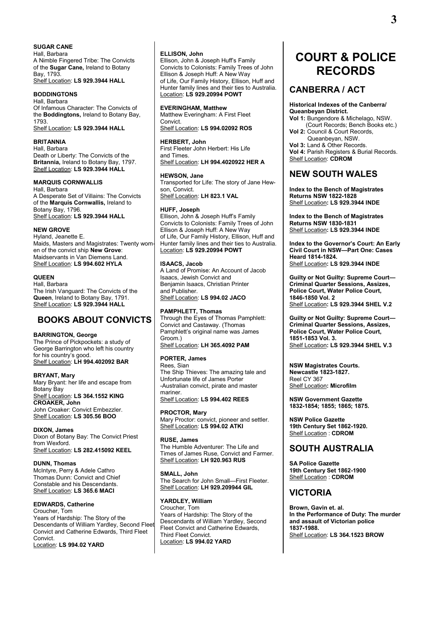#### **SUGAR CANE**

Hall, Barbara A Nimble Fingered Tribe: The Convicts of the **Sugar Cane,** Ireland to Botany Bay, 1793. Shelf Location: **LS 929.3944 HALL**

#### **BODDINGTONS**

Hall, Barbara Of Infamous Character: The Convicts of the **Boddingtons,** Ireland to Botany Bay, 1793. Shelf Location: **LS 929.3944 HALL**

#### **BRITANNIA**

Hall, Barbara Death or Liberty: The Convicts of the **Britannia,** Ireland to Botany Bay, 1797. Shelf Location: **LS 929.3944 HALL**

#### **MARQUIS CORNWALLIS**

Hall, Barbara A Desperate Set of Villains: The Convicts of the **Marquis Cornwallis,** Ireland to Botany Bay, 1796. Shelf Location: **LS 929.3944 HALL**

#### **NEW GROVE**

Hyland, Jeanette E. Maids, Masters and Magistrates: Twenty women of the convict ship **New Grove**: Maidservants in Van Diemens Land. Shelf Location: **LS 994.602 HYLA**

#### **QUEEN**

Hall, Barbara The Irish Vanguard: The Convicts of the **Queen**, Ireland to Botany Bay, 1791. Shelf Location: **LS 929.3944 HALL**

## **BOOKS ABOUT CONVICTS**

#### **BARRINGTON, George**

The Prince of Pickpockets: a study of George Barrington who left his country for his country's good. Shelf Location: **LH 994.402092 BAR**

#### **BRYANT, Mary**

Mary Bryant: her life and escape from Botany Bay Shelf Location: **LS 364.1552 KING CROAKER, John** John Croaker: Convict Embezzler. Shelf Location: **LS 305.56 BOO**

#### **DIXON, James**

Dixon of Botany Bay: The Convict Priest from Wexford. Shelf Location: **LS 282.415092 KEEL**

#### **DUNN, Thomas**

McIntyre, Perry & Adele Cathro Thomas Dunn: Convict and Chief Constable and his Descendants. Shelf Location: **LS 365.6 MACI**

#### **EDWARDS, Catherine**

Croucher, Tom Years of Hardship: The Story of the Descendants of William Yardley, Second Fleet Convict and Catherine Edwards, Third Fleet Convict.

Location: **LS 994.02 YARD**

#### **ELLISON, John**

Ellison, John & Joseph Huff's Family Convicts to Colonists: Family Trees of John Ellison & Joseph Huff: A New Way of Life, Our Family History, Ellison, Huff and Hunter family lines and their ties to Australia. Location: **LS 929.20994 POWT**

#### **EVERINGHAM, Matthew**

Matthew Everingham: A First Fleet **Convict** Shelf Location: **LS 994.02092 ROS**

#### **HERBERT, John**

First Fleeter John Herbert: His Life and Times.

Shelf Location: **LH 994.4020922 HER A**

#### **HEWSON, Jane**

Transported for Life: The story of Jane Hewson, Convict. Shelf Location: **LH 823.1 VAL**

#### **HUFF, Joseph**

Ellison, John & Joseph Huff's Family Convicts to Colonists: Family Trees of John Ellison & Joseph Huff: A New Way of Life, Our Family History, Ellison, Huff and Hunter family lines and their ties to Australia. Location: **LS 929.20994 POWT**

#### **ISAACS, Jacob**

A Land of Promise: An Account of Jacob Isaacs, Jewish Convict and Benjamin Isaacs, Christian Printer and Publisher. Shelf Location: **LS 994.02 JACO**

#### **PAMPHLETT, Thomas**

Through the Eyes of Thomas Pamphlett: Convict and Castaway. (Thomas Pamphlett's original name was James Groom.) Shelf Location: **LH 365.4092 PAM** 

#### **PORTER, James**

Rees, Sian The Ship Thieves: The amazing tale and Unfortunate life of James Porter -Australian convict, pirate and master mariner. Shelf Location: **LS 994.402 REES**

#### **PROCTOR, Mary**

Mary Proctor: convict, pioneer and settler. Shelf Location: **LS 994.02 ATKI**

#### **RUSE, James**

The Humble Adventurer: The Life and Times of James Ruse, Convict and Farmer. Shelf Location: **LH 920.963 RUS**

#### **SMALL, John**

The Search for John Small—First Fleeter. Shelf Location: **LH 929.209944 GIL**

#### **YARDLEY, William**

Croucher, Tom Years of Hardship: The Story of the Descendants of William Yardley, Second Fleet Convict and Catherine Edwards, Third Fleet Convict. Location: **LS 994.02 YARD**

# **COURT & POLICE RECORDS**

## **CANBERRA / ACT**

**Historical Indexes of the Canberra/ Queanbeyan District. Vol 1:** Bungendore & Michelago, NSW. (Court Records; Bench Books etc.) **Vol 2:** Council & Court Records, Queanbeyan, NSW. **Vol 3:** Land & Other Records. **Vol 4:** Parish Registers & Burial Records. Shelf Location: **CDROM**

## **NEW SOUTH WALES**

**Index to the Bench of Magistrates Returns NSW 1822-1828** Shelf Location**: LS 929.3944 INDE**

**Index to the Bench of Magistrates Returns NSW 1830-1831** Shelf Location**: LS 929.3944 INDE**

**Index to the Governor's Court: An Early Civil Court in NSW—Part One: Cases Heard 1814-1824.** Shelf Location**: LS 929.3944 INDE**

**Guilty or Not Guilty: Supreme Court— Criminal Quarter Sessions, Assizes, Police Court, Water Police Court, 1846-1850 Vol. 2** Shelf Location**: LS 929.3944 SHEL V.2**

**Guilty or Not Guilty: Supreme Court— Criminal Quarter Sessions, Assizes, Police Court, Water Police Court, 1851-1853 Vol. 3.** Shelf Location**: LS 929.3944 SHEL V.3**

**NSW Magistrates Courts. Newcastle 1823-1827.** Reel CY 367 Shelf Location**: Microfilm**

**NSW Government Gazette 1832-1854; 1855; 1865; 1875.**

**NSW Police Gazette 19th Century Set 1862-1920.** Shelf Location : **CDROM**

## **SOUTH AUSTRALIA**

**SA Police Gazette 19th Century Set 1862-1900** Shelf Location : **CDROM**

## **VICTORIA**

**Brown, Gavin et. al. In the Performance of Duty: The murder and assault of Victorian police 1837-1988.** Shelf Location: **LS 364.1523 BROW**